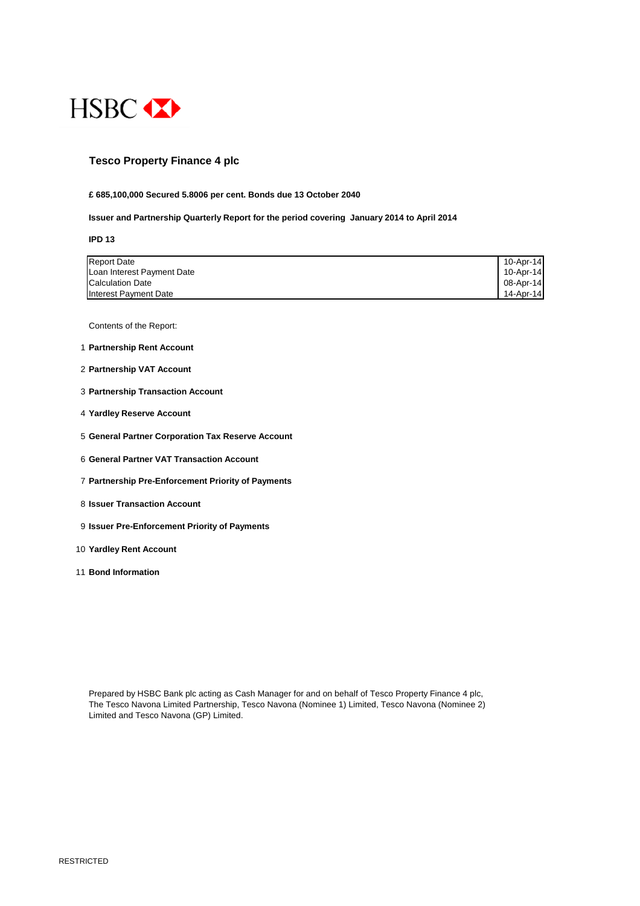

#### **Tesco Property Finance 4 plc**

#### **£ 685,100,000 Secured 5.8006 per cent. Bonds due 13 October 2040**

**Issuer and Partnership Quarterly Report for the period covering January 2014 to April 2014**

#### **IPD 13**

| <b>Report Date</b>         | 10-Apr-14    |
|----------------------------|--------------|
| Loan Interest Payment Date | $10$ -Apr-14 |
| <b>Calculation Date</b>    | 08-Apr-14    |
| Interest Payment Date      | 14-Apr-14    |

Contents of the Report:

- 1 **Partnership Rent Account**
- 2 **Partnership VAT Account**
- 3 **Partnership Transaction Account**
- 4 **Yardley Reserve Account**
- 5 **General Partner Corporation Tax Reserve Account**
- 6 **General Partner VAT Transaction Account**
- 7 **Partnership Pre-Enforcement Priority of Payments**
- 8 **Issuer Transaction Account**
- 9 **Issuer Pre-Enforcement Priority of Payments**
- 10 **Yardley Rent Account**
- 11 **Bond Information**

Prepared by HSBC Bank plc acting as Cash Manager for and on behalf of Tesco Property Finance 4 plc,

The Tesco Navona Limited Partnership, Tesco Navona (Nominee 1) Limited, Tesco Navona (Nominee 2) Limited and Tesco Navona (GP) Limited.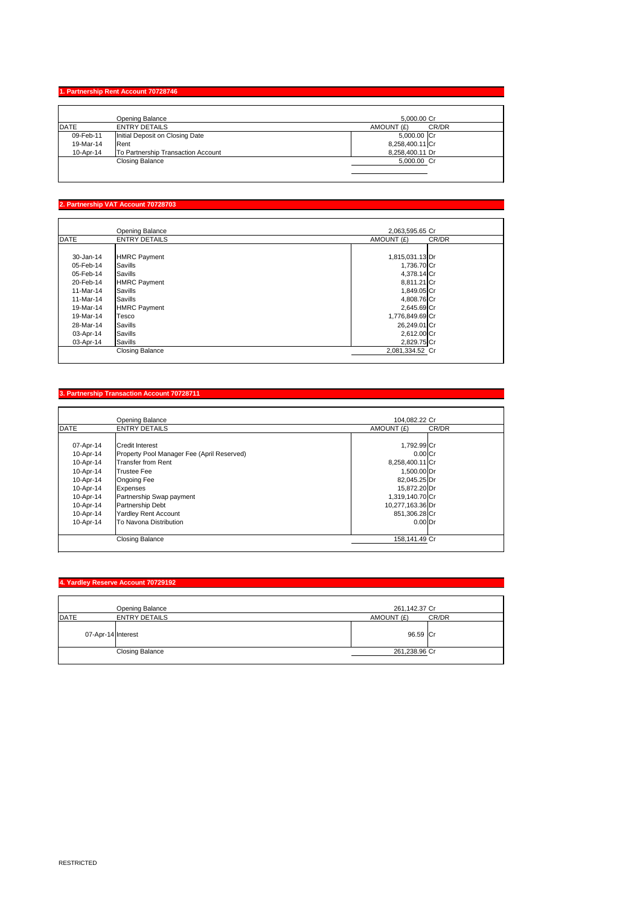## **1. Partnership Rent Account 70728746**

|             | <b>Opening Balance</b>             | 5,000.00 Cr         |
|-------------|------------------------------------|---------------------|
| <b>DATE</b> | <b>ENTRY DETAILS</b>               | CR/DR<br>AMOUNT (£) |
| 09-Feb-11   | Initial Deposit on Closing Date    | 5,000.00 Cr         |
| 19-Mar-14   | Rent                               | 8,258,400.11 Cr     |
| 10-Apr-14   | To Partnership Transaction Account | 8,258,400.11 Dr     |
|             | <b>Closing Balance</b>             | 5,000.00 Cr         |
|             |                                    |                     |
|             |                                    |                     |

## **2. Partnership VAT Account 70728703**

|           | <b>Opening Balance</b> | 2,063,595.65 Cr     |
|-----------|------------------------|---------------------|
| DATE      | <b>ENTRY DETAILS</b>   | CR/DR<br>AMOUNT (£) |
|           |                        |                     |
| 30-Jan-14 | HMRC Payment           | 1,815,031.13 Dr     |
| 05-Feb-14 | <b>S</b> avills        | 1,736.70 Cr         |
| 05-Feb-14 | <b>Savills</b>         | 4,378.14 Cr         |
| 20-Feb-14 | HMRC Payment           | 8,811.21 Cr         |
| 11-Mar-14 | Savills                | 1,849.05 Cr         |
| 11-Mar-14 | <b>Savills</b>         | 4,808.76 Cr         |
| 19-Mar-14 | HMRC Payment           | 2,645.69 Cr         |
| 19-Mar-14 | Tesco                  | 1,776,849.69 Cr     |
| 28-Mar-14 | Savills                | 26,249.01 Cr        |
| 03-Apr-14 | Savills                | 2,612.00 Cr         |
| 03-Apr-14 | Savills                | 2,829.75 Cr         |
|           | <b>Closing Balance</b> | 2,081,334.52 Cr     |

# **3. Partnership Transaction Account 70728711**

|             | <b>Opening Balance</b>                     | 104,082.22 Cr        |
|-------------|--------------------------------------------|----------------------|
| <b>DATE</b> | <b>ENTRY DETAILS</b>                       | CR/DR<br>AMOUNT (£)  |
|             |                                            |                      |
| 07-Apr-14   | <b>Credit Interest</b>                     | 1,792.99 Cr          |
| 10-Apr-14   | Property Pool Manager Fee (April Reserved) | $0.00$ <sub>Cr</sub> |
| 10-Apr-14   | Transfer from Rent                         | 8,258,400.11 Cr      |
| 10-Apr-14   | <b>Trustee Fee</b>                         | 1,500.00 Dr          |
| 10-Apr-14   | <b>Ongoing Fee</b>                         | 82,045.25 Dr         |
| 10-Apr-14   | <b>Expenses</b>                            | 15,872.20 Dr         |
| 10-Apr-14   | Partnership Swap payment                   | 1,319,140.70 Cr      |
| 10-Apr-14   | <b>Partnership Debt</b>                    | 10,277,163.36 Dr     |
| 10-Apr-14   | <b>Yardley Rent Account</b>                | 851,306.28 Cr        |
| 10-Apr-14   | <b>To Navona Distribution</b>              | $0.00$ Dr            |
|             | <b>Closing Balance</b>                     | 158,141.49 Cr        |

## **4. Yardley Reserve Account 70729192**

|      | <b>Opening Balance</b> | 261,142.37 Cr |       |
|------|------------------------|---------------|-------|
| DATE | <b>ENTRY DETAILS</b>   | AMOUNT (£)    | CR/DR |
|      | 07-Apr-14 Interest     | 96.59 Cr      |       |
|      | <b>Closing Balance</b> | 261,238.96 Cr |       |
|      |                        |               |       |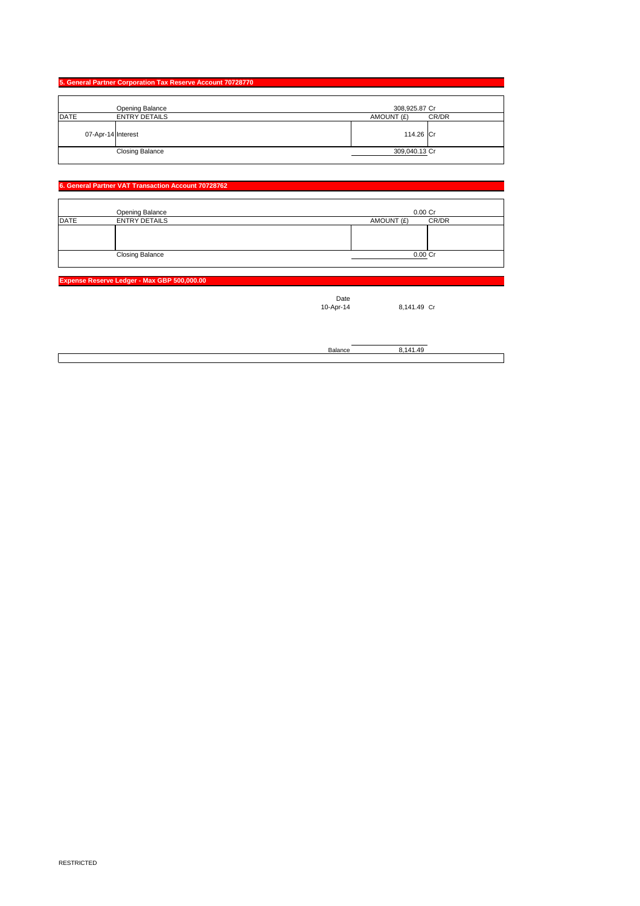#### **5. General Partner Corporation Tax Reserve Account 70728770**

|      |                    | <b>Opening Balance</b> | 308,925.87 Cr |       |
|------|--------------------|------------------------|---------------|-------|
| DATE |                    | <b>ENTRY DETAILS</b>   | AMOUNT (£)    | CR/DR |
|      | 07-Apr-14 Interest |                        | 114.26 Cr     |       |
|      |                    | <b>Closing Balance</b> | 309,040.13 Cr |       |
|      |                    |                        |               |       |

|             | <b>Opening Balance</b> | $0.00$ Cr           |  |
|-------------|------------------------|---------------------|--|
| <b>DATE</b> | <b>ENTRY DETAILS</b>   | CR/DR<br>AMOUNT (£) |  |
|             |                        |                     |  |
|             |                        |                     |  |
|             |                        |                     |  |
|             | <b>Closing Balance</b> | 0.00 Cr             |  |
|             |                        |                     |  |

#### **6. General Partner VAT Transaction Account 70728762**

**Expense Reserve Ledger - Max GBP 500,000.00**

Date<br>10-Apr-14

8,141.49 Cr

Balance 8,141.49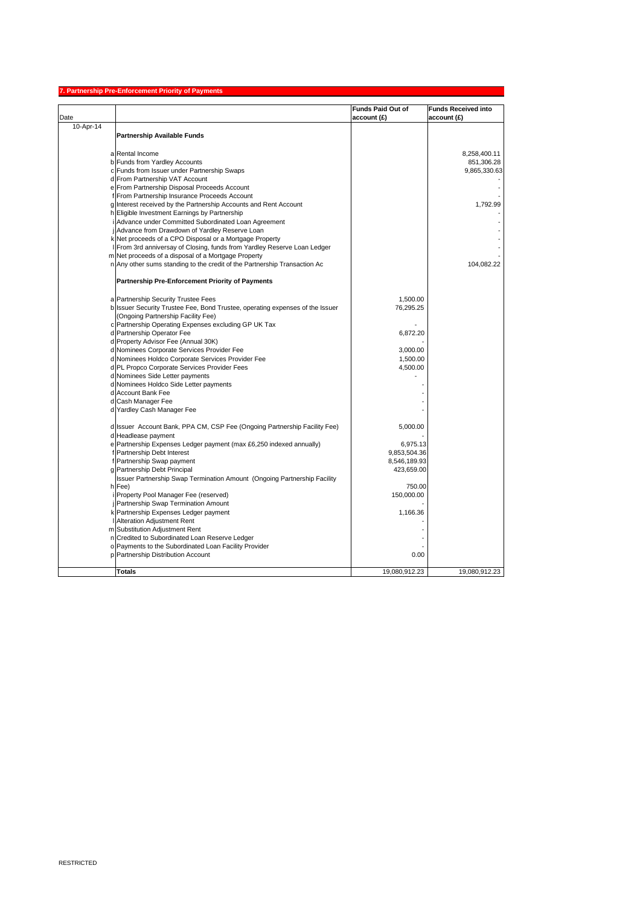# **7. Partnership Pre-Enforcement Priority of Payments**

|           |                                                                                                  | <b>Funds Paid Out of</b> | <b>Funds Received into</b> |
|-----------|--------------------------------------------------------------------------------------------------|--------------------------|----------------------------|
| Date      |                                                                                                  | $ $ account $(E)$        | account(E)                 |
| 10-Apr-14 | <b>Partnership Available Funds</b>                                                               |                          |                            |
|           |                                                                                                  |                          |                            |
|           | a Rental Income                                                                                  |                          | 8,258,400.11               |
|           | b Funds from Yardley Accounts                                                                    |                          | 851,306.28                 |
|           | c Funds from Issuer under Partnership Swaps                                                      |                          | 9,865,330.63               |
|           | d From Partnership VAT Account                                                                   |                          |                            |
|           | e From Partnership Disposal Proceeds Account                                                     |                          |                            |
|           | f From Partnership Insurance Proceeds Account                                                    |                          |                            |
|           | g Interest received by the Partnership Accounts and Rent Account                                 |                          | 1,792.99                   |
|           | h Eligible Investment Earnings by Partnership                                                    |                          |                            |
|           | i Advance under Committed Subordinated Loan Agreement                                            |                          |                            |
|           | jAdvance from Drawdown of Yardley Reserve Loan                                                   |                          |                            |
|           | k Net proceeds of a CPO Disposal or a Mortgage Property                                          |                          |                            |
|           | I From 3rd anniversay of Closing, funds from Yardley Reserve Loan Ledger                         |                          |                            |
|           |                                                                                                  |                          |                            |
|           | m Net proceeds of a disposal of a Mortgage Property                                              |                          |                            |
|           | n Any other sums standing to the credit of the Partnership Transaction Ac                        |                          | 104,082.22                 |
|           | <b>Partnership Pre-Enforcement Priority of Payments</b>                                          |                          |                            |
|           | a Partnership Security Trustee Fees                                                              | 1,500.00                 |                            |
|           | b Issuer Security Trustee Fee, Bond Trustee, operating expenses of the Issuer                    | 76,295.25                |                            |
|           | (Ongoing Partnership Facility Fee)                                                               |                          |                            |
|           | c Partnership Operating Expenses excluding GP UK Tax                                             |                          |                            |
|           | d Partnership Operator Fee                                                                       | 6,872.20                 |                            |
|           | d Property Advisor Fee (Annual 30K)                                                              |                          |                            |
|           | d Nominees Corporate Services Provider Fee                                                       | 3,000.00                 |                            |
|           | d Nominees Holdco Corporate Services Provider Fee                                                | 1,500.00                 |                            |
|           | d PL Propco Corporate Services Provider Fees                                                     | 4,500.00                 |                            |
|           | d Nominees Side Letter payments                                                                  |                          |                            |
|           | d Nominees Holdco Side Letter payments                                                           |                          |                            |
|           | d Account Bank Fee                                                                               |                          |                            |
|           | d Cash Manager Fee                                                                               |                          |                            |
|           | d Yardley Cash Manager Fee                                                                       |                          |                            |
|           |                                                                                                  |                          |                            |
|           | d Issuer Account Bank, PPA CM, CSP Fee (Ongoing Partnership Facility Fee)<br>d Headlease payment | 5,000.00                 |                            |
|           |                                                                                                  |                          |                            |
|           | e Partnership Expenses Ledger payment (max £6,250 indexed annually)                              | 6,975.13                 |                            |
|           | f Partnership Debt Interest                                                                      | 9,853,504.36             |                            |
|           | f Partnership Swap payment                                                                       | 8,546,189.93             |                            |
|           | g Partnership Debt Principal                                                                     | 423,659.00               |                            |
|           | <b>Issuer Partnership Swap Termination Amount (Ongoing Partnership Facility</b>                  |                          |                            |
|           | $h$ Fee)                                                                                         | 750.00                   |                            |
|           | i Property Pool Manager Fee (reserved)                                                           | 150,000.00               |                            |
|           | <b>Partnership Swap Termination Amount</b>                                                       |                          |                            |
|           | k Partnership Expenses Ledger payment                                                            | 1,166.36                 |                            |
|           | <b>I</b> Alteration Adjustment Rent                                                              |                          |                            |
|           | m Substitution Adjustment Rent                                                                   |                          |                            |
|           | n Credited to Subordinated Loan Reserve Ledger                                                   |                          |                            |
|           | o Payments to the Subordinated Loan Facility Provider                                            |                          |                            |
|           | p Partnership Distribution Account                                                               | 0.00                     |                            |
|           | <b>Totals</b>                                                                                    | 19,080,912.23            | 19,080,912.23              |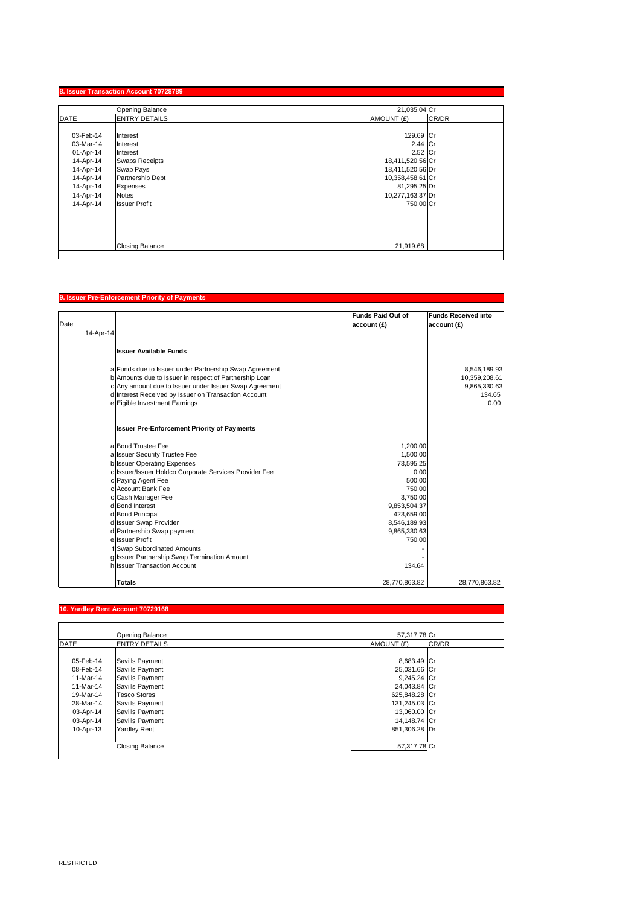## **8. Issuer Transaction Account 70728789**

|             | <b>Opening Balance</b>  | 21,035.04 Cr     |       |
|-------------|-------------------------|------------------|-------|
| <b>DATE</b> | <b>ENTRY DETAILS</b>    | AMOUNT (£)       | CR/DR |
|             |                         |                  |       |
| 03-Feb-14   | Interest                | 129.69 Cr        |       |
| 03-Mar-14   | Interest                | 2.44 $ Cr$       |       |
| 01-Apr-14   | Interest                | $2.52$ Cr        |       |
| 14-Apr-14   | <b>Swaps Receipts</b>   | 18,411,520.56 Cr |       |
| 14-Apr-14   | <b>Swap Pays</b>        | 18,411,520.56 Dr |       |
| 14-Apr-14   | <b>Partnership Debt</b> | 10,358,458.61 Cr |       |
| 14-Apr-14   | Expenses                | 81,295.25 Dr     |       |
| 14-Apr-14   | <b>Notes</b>            | 10,277,163.37 Dr |       |
| 14-Apr-14   | <b>Issuer Profit</b>    | 750.00 Cr        |       |
|             |                         |                  |       |
|             |                         |                  |       |
|             |                         |                  |       |
|             |                         |                  |       |
|             | <b>Closing Balance</b>  | 21,919.68        |       |
|             |                         |                  |       |

## **9. Issuer Pre-Enforcement Priority of Payments**

| Date      |                                                        | <b>Funds Paid Out of</b><br>account(E) | <b>Funds Received into</b><br>account(E) |
|-----------|--------------------------------------------------------|----------------------------------------|------------------------------------------|
| 14-Apr-14 |                                                        |                                        |                                          |
|           | <b>Issuer Available Funds</b>                          |                                        |                                          |
|           | a Funds due to Issuer under Partnership Swap Agreement |                                        | 8,546,189.93                             |
|           | b Amounts due to Issuer in respect of Partnership Loan |                                        | 10,359,208.61                            |
|           | c Any amount due to Issuer under Issuer Swap Agreement |                                        | 9,865,330.63                             |
|           | d Interest Received by Issuer on Transaction Account   |                                        | 134.65                                   |
|           | e Eigible Investment Earnings                          |                                        | 0.00                                     |
|           | <b>Issuer Pre-Enforcement Priority of Payments</b>     |                                        |                                          |
|           | a Bond Trustee Fee                                     | 1,200.00                               |                                          |
|           | a Issuer Security Trustee Fee                          | 1,500.00                               |                                          |
|           | b Issuer Operating Expenses                            | 73,595.25                              |                                          |
|           | c Issuer/Issuer Holdco Corporate Services Provider Fee | 0.00                                   |                                          |
|           | c Paying Agent Fee                                     | 500.00                                 |                                          |
|           | c Account Bank Fee                                     | 750.00                                 |                                          |
|           | c Cash Manager Fee                                     | 3,750.00                               |                                          |
|           | d Bond Interest                                        | 9,853,504.37                           |                                          |
|           | d Bond Principal                                       | 423,659.00                             |                                          |
|           | d Issuer Swap Provider                                 | 8,546,189.93                           |                                          |
|           | d Partnership Swap payment                             | 9,865,330.63                           |                                          |
|           | ellssuer Profit                                        | 750.00                                 |                                          |
|           | f Swap Subordinated Amounts                            |                                        |                                          |
|           | g Issuer Partnership Swap Termination Amount           |                                        |                                          |
|           | h Issuer Transaction Account                           | 134.64                                 |                                          |
|           | <b>Totals</b>                                          | 28,770,863.82                          | 28,770,863.82                            |

## **10. Yardley Rent Account 70729168**

|             | <b>Opening Balance</b> | 57,317.78 Cr  |       |
|-------------|------------------------|---------------|-------|
| <b>DATE</b> | <b>ENTRY DETAILS</b>   | AMOUNT (£)    | CR/DR |
|             |                        |               |       |
| 05-Feb-14   | Savills Payment        | 8,683.49 Cr   |       |
| 08-Feb-14   | <b>Savills Payment</b> | 25,031.66 Cr  |       |
| 11-Mar-14   | Savills Payment        | $9,245.24$ Cr |       |
| 11-Mar-14   | Savills Payment        | 24,043.84 Cr  |       |
| 19-Mar-14   | <b>Tesco Stores</b>    | 625,848.28 Cr |       |
| 28-Mar-14   | Savills Payment        | 131,245.03 Cr |       |
| 03-Apr-14   | Savills Payment        | 13,060.00 Cr  |       |
| 03-Apr-14   | Savills Payment        | 14,148.74 Cr  |       |
| 10-Apr-13   | <b>Yardley Rent</b>    | 851,306.28 Dr |       |
|             |                        |               |       |
|             | <b>Closing Balance</b> | 57,317.78 Cr  |       |